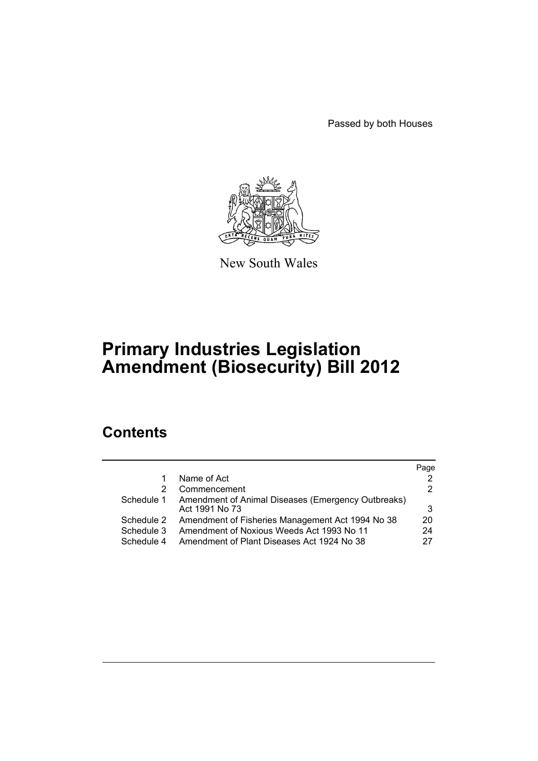Passed by both Houses



New South Wales

# **Primary Industries Legislation Amendment (Biosecurity) Bill 2012**

# **Contents**

|            |                                                    | Page |
|------------|----------------------------------------------------|------|
|            | Name of Act                                        |      |
|            | Commencement                                       | 2    |
| Schedule 1 | Amendment of Animal Diseases (Emergency Outbreaks) |      |
|            | Act 1991 No 73                                     | 3    |
| Schedule 2 | Amendment of Fisheries Management Act 1994 No 38   | 20   |
| Schedule 3 | Amendment of Noxious Weeds Act 1993 No 11          | 24   |
| Schedule 4 | Amendment of Plant Diseases Act 1924 No 38         |      |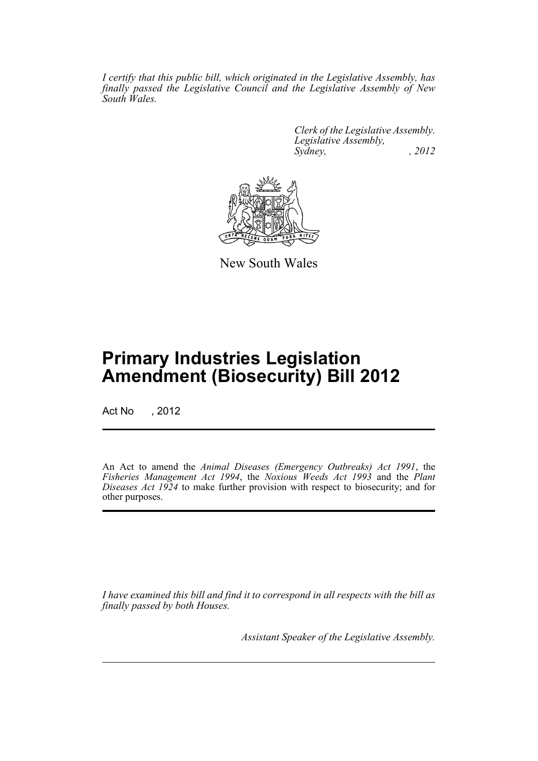*I certify that this public bill, which originated in the Legislative Assembly, has finally passed the Legislative Council and the Legislative Assembly of New South Wales.*

> *Clerk of the Legislative Assembly. Legislative Assembly, Sydney, , 2012*



New South Wales

# **Primary Industries Legislation Amendment (Biosecurity) Bill 2012**

Act No , 2012

An Act to amend the *Animal Diseases (Emergency Outbreaks) Act 1991*, the *Fisheries Management Act 1994*, the *Noxious Weeds Act 1993* and the *Plant Diseases Act 1924* to make further provision with respect to biosecurity; and for other purposes.

*I have examined this bill and find it to correspond in all respects with the bill as finally passed by both Houses.*

*Assistant Speaker of the Legislative Assembly.*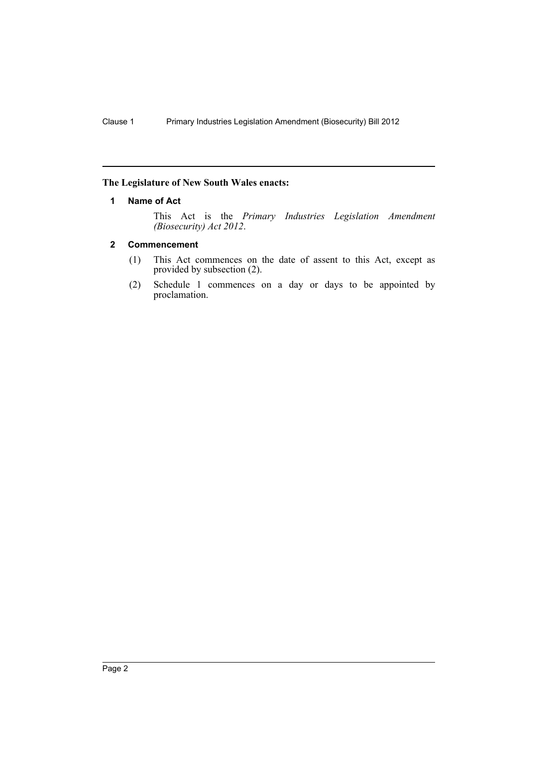# <span id="page-3-0"></span>**The Legislature of New South Wales enacts:**

# **1 Name of Act**

This Act is the *Primary Industries Legislation Amendment (Biosecurity) Act 2012*.

# <span id="page-3-1"></span>**2 Commencement**

- (1) This Act commences on the date of assent to this Act, except as provided by subsection (2).
- (2) Schedule 1 commences on a day or days to be appointed by proclamation.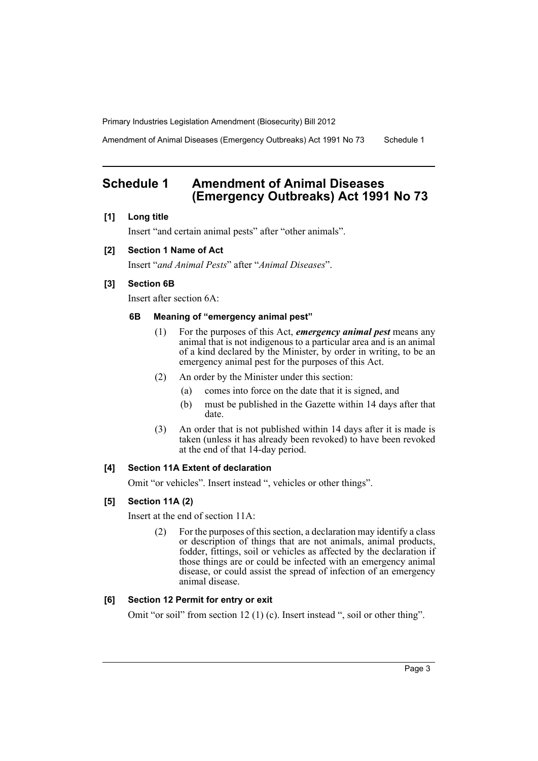Amendment of Animal Diseases (Emergency Outbreaks) Act 1991 No 73 Schedule 1

# <span id="page-4-0"></span>**Schedule 1 Amendment of Animal Diseases (Emergency Outbreaks) Act 1991 No 73**

# **[1] Long title**

Insert "and certain animal pests" after "other animals".

# **[2] Section 1 Name of Act**

Insert "*and Animal Pests*" after "*Animal Diseases*".

# **[3] Section 6B**

Insert after section 6A:

# **6B Meaning of "emergency animal pest"**

- (1) For the purposes of this Act, *emergency animal pest* means any animal that is not indigenous to a particular area and is an animal of a kind declared by the Minister, by order in writing, to be an emergency animal pest for the purposes of this Act.
- (2) An order by the Minister under this section:
	- (a) comes into force on the date that it is signed, and
	- (b) must be published in the Gazette within 14 days after that date.
- (3) An order that is not published within 14 days after it is made is taken (unless it has already been revoked) to have been revoked at the end of that 14-day period.

# **[4] Section 11A Extent of declaration**

Omit "or vehicles". Insert instead ", vehicles or other things".

# **[5] Section 11A (2)**

Insert at the end of section 11A:

(2) For the purposes of this section, a declaration may identify a class or description of things that are not animals, animal products, fodder, fittings, soil or vehicles as affected by the declaration if those things are or could be infected with an emergency animal disease, or could assist the spread of infection of an emergency animal disease.

# **[6] Section 12 Permit for entry or exit**

Omit "or soil" from section 12 (1) (c). Insert instead ", soil or other thing".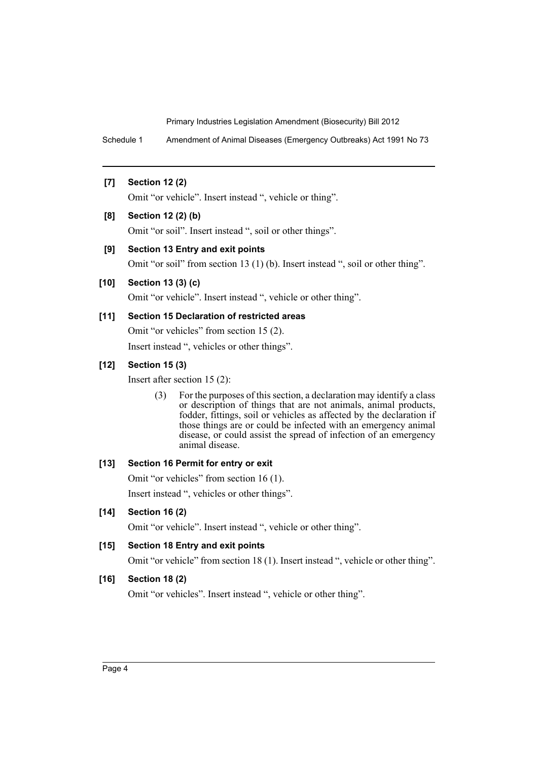Schedule 1 Amendment of Animal Diseases (Emergency Outbreaks) Act 1991 No 73

# **[7] Section 12 (2)**

Omit "or vehicle". Insert instead ", vehicle or thing".

# **[8] Section 12 (2) (b)**

Omit "or soil". Insert instead ", soil or other things".

# **[9] Section 13 Entry and exit points**

Omit "or soil" from section 13 (1) (b). Insert instead ", soil or other thing".

# **[10] Section 13 (3) (c)**

Omit "or vehicle". Insert instead ", vehicle or other thing".

# **[11] Section 15 Declaration of restricted areas**

Omit "or vehicles" from section 15 (2).

Insert instead ", vehicles or other things".

# **[12] Section 15 (3)**

Insert after section 15 (2):

(3) For the purposes of this section, a declaration may identify a class or description of things that are not animals, animal products, fodder, fittings, soil or vehicles as affected by the declaration if those things are or could be infected with an emergency animal disease, or could assist the spread of infection of an emergency animal disease.

#### **[13] Section 16 Permit for entry or exit**

Omit "or vehicles" from section 16 (1). Insert instead ", vehicles or other things".

# **[14] Section 16 (2)**

Omit "or vehicle". Insert instead ", vehicle or other thing".

# **[15] Section 18 Entry and exit points**

Omit "or vehicle" from section 18 (1). Insert instead ", vehicle or other thing".

# **[16] Section 18 (2)**

Omit "or vehicles". Insert instead ", vehicle or other thing".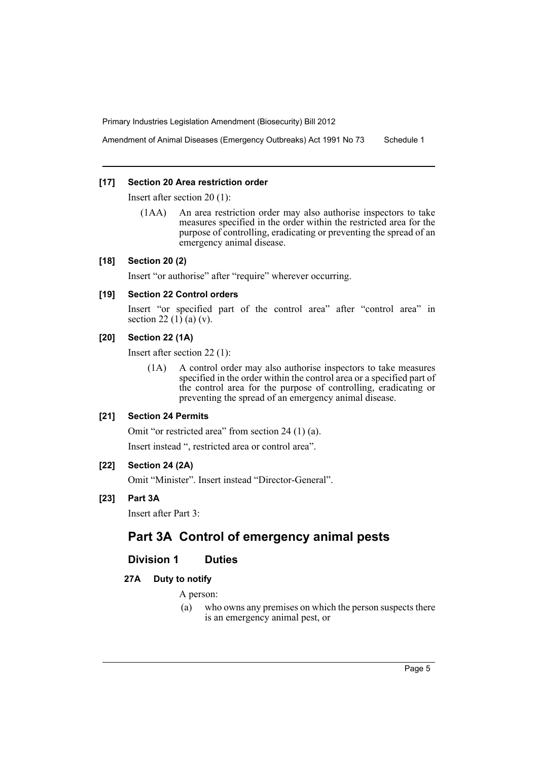Amendment of Animal Diseases (Emergency Outbreaks) Act 1991 No 73 Schedule 1

#### **[17] Section 20 Area restriction order**

Insert after section 20 (1):

(1AA) An area restriction order may also authorise inspectors to take measures specified in the order within the restricted area for the purpose of controlling, eradicating or preventing the spread of an emergency animal disease.

# **[18] Section 20 (2)**

Insert "or authorise" after "require" wherever occurring.

# **[19] Section 22 Control orders**

Insert "or specified part of the control area" after "control area" in section 22 $(1)$  $(a)$  $(v)$ .

# **[20] Section 22 (1A)**

Insert after section 22 (1):

(1A) A control order may also authorise inspectors to take measures specified in the order within the control area or a specified part of the control area for the purpose of controlling, eradicating or preventing the spread of an emergency animal disease.

# **[21] Section 24 Permits**

Omit "or restricted area" from section 24 (1) (a).

Insert instead ", restricted area or control area".

# **[22] Section 24 (2A)**

Omit "Minister". Insert instead "Director-General".

# **[23] Part 3A**

Insert after Part 3:

# **Part 3A Control of emergency animal pests**

# **Division 1 Duties**

# **27A Duty to notify**

A person:

(a) who owns any premises on which the person suspects there is an emergency animal pest, or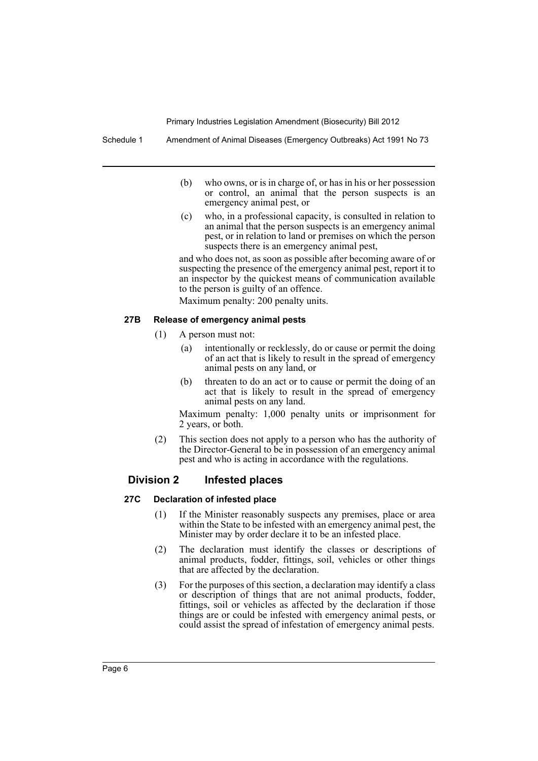Schedule 1 Amendment of Animal Diseases (Emergency Outbreaks) Act 1991 No 73

- (b) who owns, or is in charge of, or has in his or her possession or control, an animal that the person suspects is an emergency animal pest, or
- (c) who, in a professional capacity, is consulted in relation to an animal that the person suspects is an emergency animal pest, or in relation to land or premises on which the person suspects there is an emergency animal pest,

and who does not, as soon as possible after becoming aware of or suspecting the presence of the emergency animal pest, report it to an inspector by the quickest means of communication available to the person is guilty of an offence.

Maximum penalty: 200 penalty units.

#### **27B Release of emergency animal pests**

- (1) A person must not:
	- (a) intentionally or recklessly, do or cause or permit the doing of an act that is likely to result in the spread of emergency animal pests on any land, or
	- (b) threaten to do an act or to cause or permit the doing of an act that is likely to result in the spread of emergency animal pests on any land.

Maximum penalty: 1,000 penalty units or imprisonment for 2 years, or both.

(2) This section does not apply to a person who has the authority of the Director-General to be in possession of an emergency animal pest and who is acting in accordance with the regulations.

# **Division 2 Infested places**

#### **27C Declaration of infested place**

- (1) If the Minister reasonably suspects any premises, place or area within the State to be infested with an emergency animal pest, the Minister may by order declare it to be an infested place.
- (2) The declaration must identify the classes or descriptions of animal products, fodder, fittings, soil, vehicles or other things that are affected by the declaration.
- (3) For the purposes of this section, a declaration may identify a class or description of things that are not animal products, fodder, fittings, soil or vehicles as affected by the declaration if those things are or could be infested with emergency animal pests, or could assist the spread of infestation of emergency animal pests.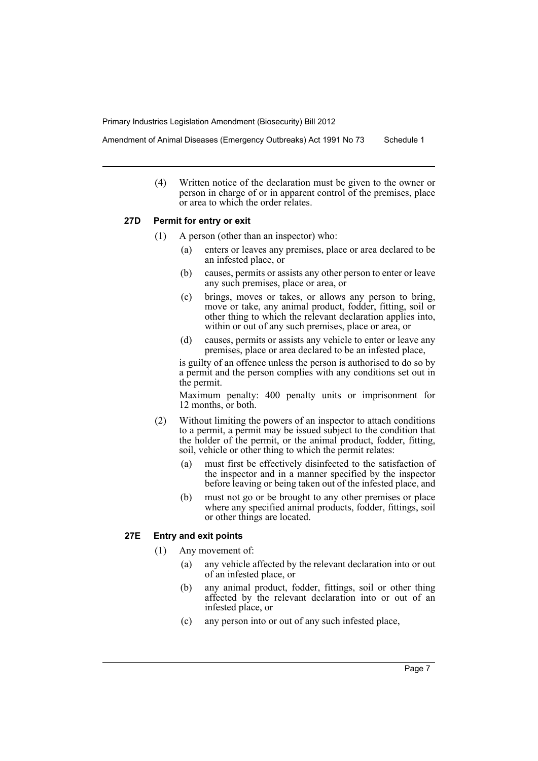Amendment of Animal Diseases (Emergency Outbreaks) Act 1991 No 73 Schedule 1

(4) Written notice of the declaration must be given to the owner or person in charge of or in apparent control of the premises, place or area to which the order relates.

# **27D Permit for entry or exit**

- (1) A person (other than an inspector) who:
	- (a) enters or leaves any premises, place or area declared to be an infested place, or
	- (b) causes, permits or assists any other person to enter or leave any such premises, place or area, or
	- (c) brings, moves or takes, or allows any person to bring, move or take, any animal product, fodder, fitting, soil or other thing to which the relevant declaration applies into, within or out of any such premises, place or area, or
	- (d) causes, permits or assists any vehicle to enter or leave any premises, place or area declared to be an infested place,

is guilty of an offence unless the person is authorised to do so by a permit and the person complies with any conditions set out in the permit.

Maximum penalty: 400 penalty units or imprisonment for 12 months, or both.

- (2) Without limiting the powers of an inspector to attach conditions to a permit, a permit may be issued subject to the condition that the holder of the permit, or the animal product, fodder, fitting, soil, vehicle or other thing to which the permit relates:
	- (a) must first be effectively disinfected to the satisfaction of the inspector and in a manner specified by the inspector before leaving or being taken out of the infested place, and
	- (b) must not go or be brought to any other premises or place where any specified animal products, fodder, fittings, soil or other things are located.

# **27E Entry and exit points**

- (1) Any movement of:
	- (a) any vehicle affected by the relevant declaration into or out of an infested place, or
	- (b) any animal product, fodder, fittings, soil or other thing affected by the relevant declaration into or out of an infested place, or
	- (c) any person into or out of any such infested place,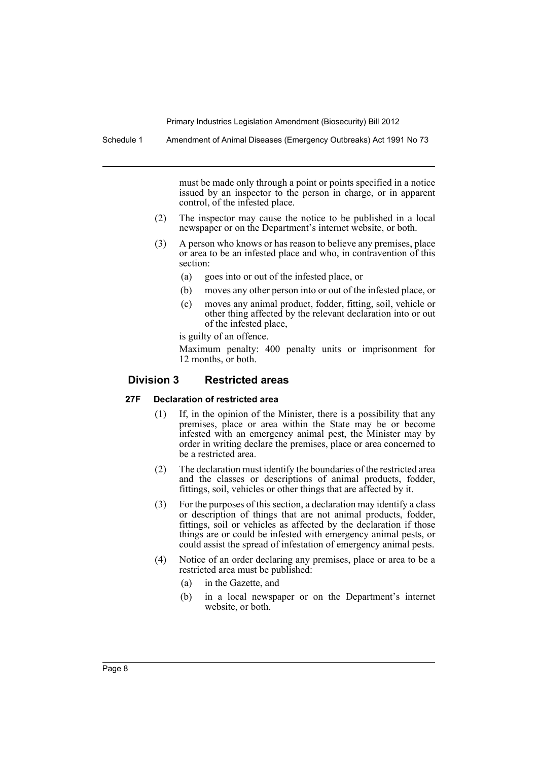Schedule 1 Amendment of Animal Diseases (Emergency Outbreaks) Act 1991 No 73

must be made only through a point or points specified in a notice issued by an inspector to the person in charge, or in apparent control, of the infested place.

- (2) The inspector may cause the notice to be published in a local newspaper or on the Department's internet website, or both.
- (3) A person who knows or has reason to believe any premises, place or area to be an infested place and who, in contravention of this section:
	- (a) goes into or out of the infested place, or
	- (b) moves any other person into or out of the infested place, or
	- (c) moves any animal product, fodder, fitting, soil, vehicle or other thing affected by the relevant declaration into or out of the infested place,

is guilty of an offence.

Maximum penalty: 400 penalty units or imprisonment for 12 months, or both.

# **Division 3 Restricted areas**

#### **27F Declaration of restricted area**

- (1) If, in the opinion of the Minister, there is a possibility that any premises, place or area within the State may be or become infested with an emergency animal pest, the Minister may by order in writing declare the premises, place or area concerned to be a restricted area.
- (2) The declaration must identify the boundaries of the restricted area and the classes or descriptions of animal products, fodder, fittings, soil, vehicles or other things that are affected by it.
- (3) For the purposes of this section, a declaration may identify a class or description of things that are not animal products, fodder, fittings, soil or vehicles as affected by the declaration if those things are or could be infested with emergency animal pests, or could assist the spread of infestation of emergency animal pests.
- (4) Notice of an order declaring any premises, place or area to be a restricted area must be published:
	- (a) in the Gazette, and
	- (b) in a local newspaper or on the Department's internet website, or both.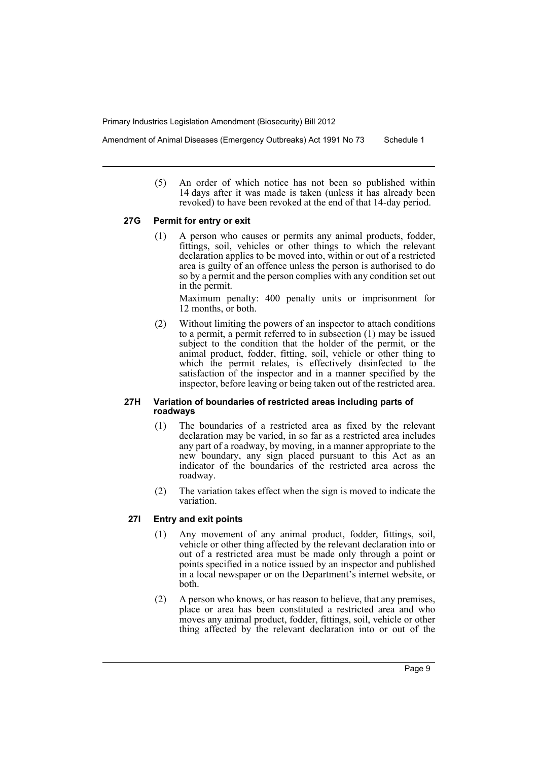Amendment of Animal Diseases (Emergency Outbreaks) Act 1991 No 73 Schedule 1

(5) An order of which notice has not been so published within 14 days after it was made is taken (unless it has already been revoked) to have been revoked at the end of that 14-day period.

#### **27G Permit for entry or exit**

(1) A person who causes or permits any animal products, fodder, fittings, soil, vehicles or other things to which the relevant declaration applies to be moved into, within or out of a restricted area is guilty of an offence unless the person is authorised to do so by a permit and the person complies with any condition set out in the permit.

Maximum penalty: 400 penalty units or imprisonment for 12 months, or both.

(2) Without limiting the powers of an inspector to attach conditions to a permit, a permit referred to in subsection (1) may be issued subject to the condition that the holder of the permit, or the animal product, fodder, fitting, soil, vehicle or other thing to which the permit relates, is effectively disinfected to the satisfaction of the inspector and in a manner specified by the inspector, before leaving or being taken out of the restricted area.

# **27H Variation of boundaries of restricted areas including parts of roadways**

- (1) The boundaries of a restricted area as fixed by the relevant declaration may be varied, in so far as a restricted area includes any part of a roadway, by moving, in a manner appropriate to the new boundary, any sign placed pursuant to this Act as an indicator of the boundaries of the restricted area across the roadway.
- (2) The variation takes effect when the sign is moved to indicate the variation.

# **27I Entry and exit points**

- (1) Any movement of any animal product, fodder, fittings, soil, vehicle or other thing affected by the relevant declaration into or out of a restricted area must be made only through a point or points specified in a notice issued by an inspector and published in a local newspaper or on the Department's internet website, or both.
- (2) A person who knows, or has reason to believe, that any premises, place or area has been constituted a restricted area and who moves any animal product, fodder, fittings, soil, vehicle or other thing affected by the relevant declaration into or out of the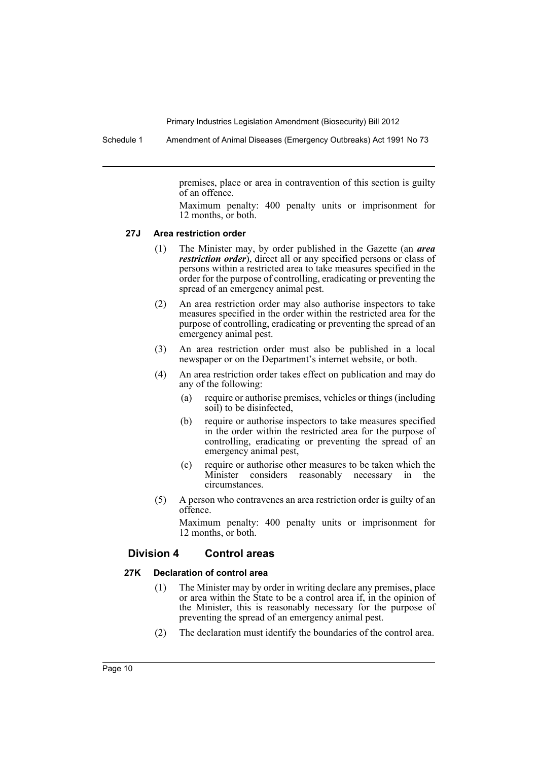Schedule 1 Amendment of Animal Diseases (Emergency Outbreaks) Act 1991 No 73

premises, place or area in contravention of this section is guilty of an offence.

Maximum penalty: 400 penalty units or imprisonment for 12 months, or both.

#### **27J Area restriction order**

- (1) The Minister may, by order published in the Gazette (an *area restriction order*), direct all or any specified persons or class of persons within a restricted area to take measures specified in the order for the purpose of controlling, eradicating or preventing the spread of an emergency animal pest.
- (2) An area restriction order may also authorise inspectors to take measures specified in the order within the restricted area for the purpose of controlling, eradicating or preventing the spread of an emergency animal pest.
- (3) An area restriction order must also be published in a local newspaper or on the Department's internet website, or both.
- (4) An area restriction order takes effect on publication and may do any of the following:
	- (a) require or authorise premises, vehicles or things (including soil) to be disinfected,
	- (b) require or authorise inspectors to take measures specified in the order within the restricted area for the purpose of controlling, eradicating or preventing the spread of an emergency animal pest,
	- (c) require or authorise other measures to be taken which the Minister considers reasonably necessary in the circumstances.
- (5) A person who contravenes an area restriction order is guilty of an offence.

Maximum penalty: 400 penalty units or imprisonment for 12 months, or both.

### **Division 4 Control areas**

#### **27K Declaration of control area**

- (1) The Minister may by order in writing declare any premises, place or area within the State to be a control area if, in the opinion of the Minister, this is reasonably necessary for the purpose of preventing the spread of an emergency animal pest.
- (2) The declaration must identify the boundaries of the control area.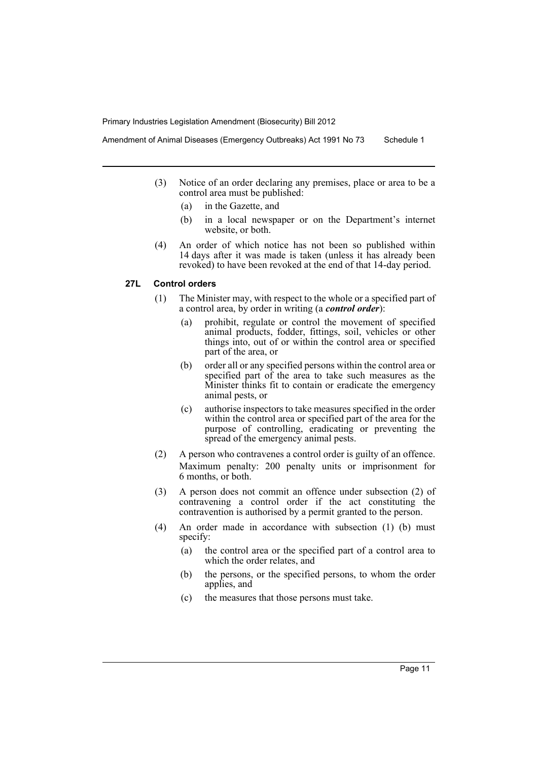Amendment of Animal Diseases (Emergency Outbreaks) Act 1991 No 73 Schedule 1

- (3) Notice of an order declaring any premises, place or area to be a control area must be published:
	- (a) in the Gazette, and
	- (b) in a local newspaper or on the Department's internet website, or both.
- (4) An order of which notice has not been so published within 14 days after it was made is taken (unless it has already been revoked) to have been revoked at the end of that 14-day period.

# **27L Control orders**

- (1) The Minister may, with respect to the whole or a specified part of a control area, by order in writing (a *control order*):
	- (a) prohibit, regulate or control the movement of specified animal products, fodder, fittings, soil, vehicles or other things into, out of or within the control area or specified part of the area, or
	- (b) order all or any specified persons within the control area or specified part of the area to take such measures as the Minister thinks fit to contain or eradicate the emergency animal pests, or
	- (c) authorise inspectors to take measures specified in the order within the control area or specified part of the area for the purpose of controlling, eradicating or preventing the spread of the emergency animal pests.
- (2) A person who contravenes a control order is guilty of an offence. Maximum penalty: 200 penalty units or imprisonment for 6 months, or both.
- (3) A person does not commit an offence under subsection (2) of contravening a control order if the act constituting the contravention is authorised by a permit granted to the person.
- (4) An order made in accordance with subsection (1) (b) must specify:
	- (a) the control area or the specified part of a control area to which the order relates, and
	- (b) the persons, or the specified persons, to whom the order applies, and
	- (c) the measures that those persons must take.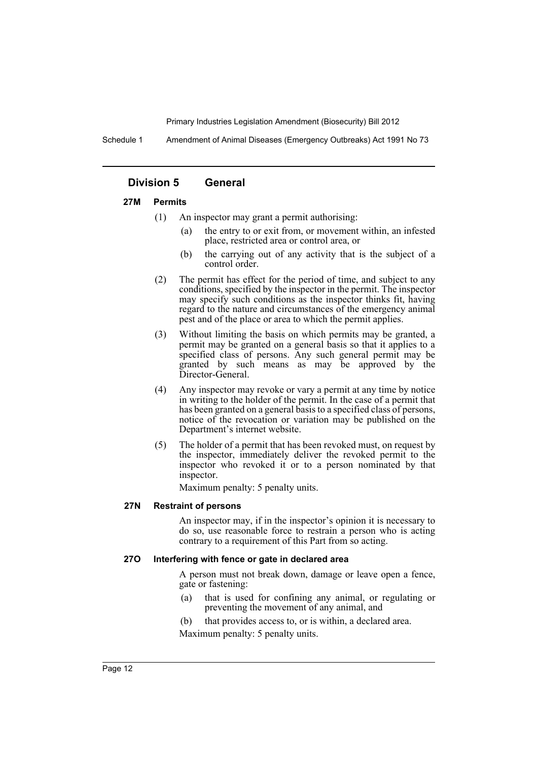Schedule 1 Amendment of Animal Diseases (Emergency Outbreaks) Act 1991 No 73

# **Division 5 General**

#### **27M Permits**

- (1) An inspector may grant a permit authorising:
	- (a) the entry to or exit from, or movement within, an infested place, restricted area or control area, or
	- (b) the carrying out of any activity that is the subject of a control order.
- (2) The permit has effect for the period of time, and subject to any conditions, specified by the inspector in the permit. The inspector may specify such conditions as the inspector thinks fit, having regard to the nature and circumstances of the emergency animal pest and of the place or area to which the permit applies.
- (3) Without limiting the basis on which permits may be granted, a permit may be granted on a general basis so that it applies to a specified class of persons. Any such general permit may be granted by such means as may be approved by the Director-General.
- (4) Any inspector may revoke or vary a permit at any time by notice in writing to the holder of the permit. In the case of a permit that has been granted on a general basis to a specified class of persons, notice of the revocation or variation may be published on the Department's internet website.
- (5) The holder of a permit that has been revoked must, on request by the inspector, immediately deliver the revoked permit to the inspector who revoked it or to a person nominated by that inspector.

Maximum penalty: 5 penalty units.

#### **27N Restraint of persons**

An inspector may, if in the inspector's opinion it is necessary to do so, use reasonable force to restrain a person who is acting contrary to a requirement of this Part from so acting.

# **27O Interfering with fence or gate in declared area**

A person must not break down, damage or leave open a fence, gate or fastening:

- (a) that is used for confining any animal, or regulating or preventing the movement of any animal, and
- (b) that provides access to, or is within, a declared area.

Maximum penalty: 5 penalty units.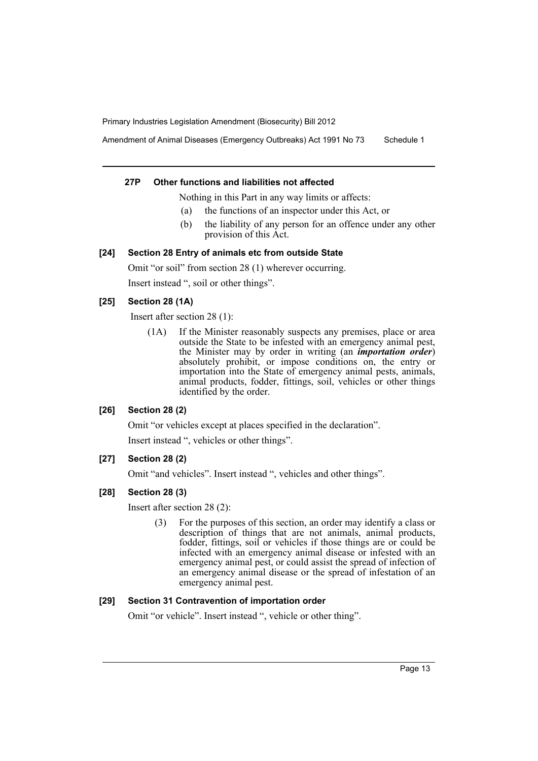Amendment of Animal Diseases (Emergency Outbreaks) Act 1991 No 73 Schedule 1

#### **27P Other functions and liabilities not affected**

Nothing in this Part in any way limits or affects:

- (a) the functions of an inspector under this Act, or
- (b) the liability of any person for an offence under any other provision of this Act.

# **[24] Section 28 Entry of animals etc from outside State**

Omit "or soil" from section 28 (1) wherever occurring. Insert instead ", soil or other things".

# **[25] Section 28 (1A)**

Insert after section 28 (1):

(1A) If the Minister reasonably suspects any premises, place or area outside the State to be infested with an emergency animal pest, the Minister may by order in writing (an *importation order*) absolutely prohibit, or impose conditions on, the entry or importation into the State of emergency animal pests, animals, animal products, fodder, fittings, soil, vehicles or other things identified by the order.

# **[26] Section 28 (2)**

Omit "or vehicles except at places specified in the declaration".

Insert instead ", vehicles or other things".

# **[27] Section 28 (2)**

Omit "and vehicles". Insert instead ", vehicles and other things".

# **[28] Section 28 (3)**

Insert after section 28 (2):

(3) For the purposes of this section, an order may identify a class or description of things that are not animals, animal products, fodder, fittings, soil or vehicles if those things are or could be infected with an emergency animal disease or infested with an emergency animal pest, or could assist the spread of infection of an emergency animal disease or the spread of infestation of an emergency animal pest.

#### **[29] Section 31 Contravention of importation order**

Omit "or vehicle". Insert instead ", vehicle or other thing".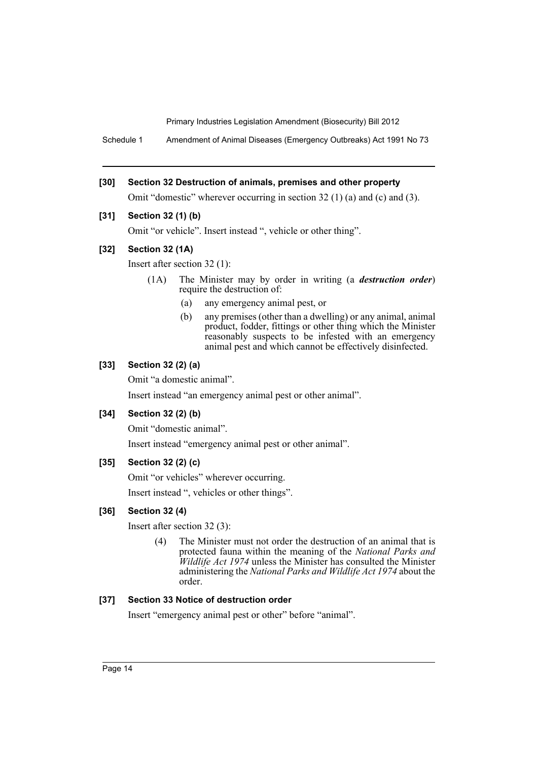Schedule 1 Amendment of Animal Diseases (Emergency Outbreaks) Act 1991 No 73

# **[30] Section 32 Destruction of animals, premises and other property**

Omit "domestic" wherever occurring in section 32 (1) (a) and (c) and (3).

# **[31] Section 32 (1) (b)**

Omit "or vehicle". Insert instead ", vehicle or other thing".

# **[32] Section 32 (1A)**

Insert after section 32 (1):

- (1A) The Minister may by order in writing (a *destruction order*) require the destruction of:
	- (a) any emergency animal pest, or
	- (b) any premises (other than a dwelling) or any animal, animal product, fodder, fittings or other thing which the Minister reasonably suspects to be infested with an emergency animal pest and which cannot be effectively disinfected.

# **[33] Section 32 (2) (a)**

Omit "a domestic animal".

Insert instead "an emergency animal pest or other animal".

# **[34] Section 32 (2) (b)**

Omit "domestic animal".

Insert instead "emergency animal pest or other animal".

# **[35] Section 32 (2) (c)**

Omit "or vehicles" wherever occurring.

Insert instead ", vehicles or other things".

# **[36] Section 32 (4)**

Insert after section 32 (3):

(4) The Minister must not order the destruction of an animal that is protected fauna within the meaning of the *National Parks and Wildlife Act 1974* unless the Minister has consulted the Minister administering the *National Parks and Wildlife Act 1974* about the order.

# **[37] Section 33 Notice of destruction order**

Insert "emergency animal pest or other" before "animal".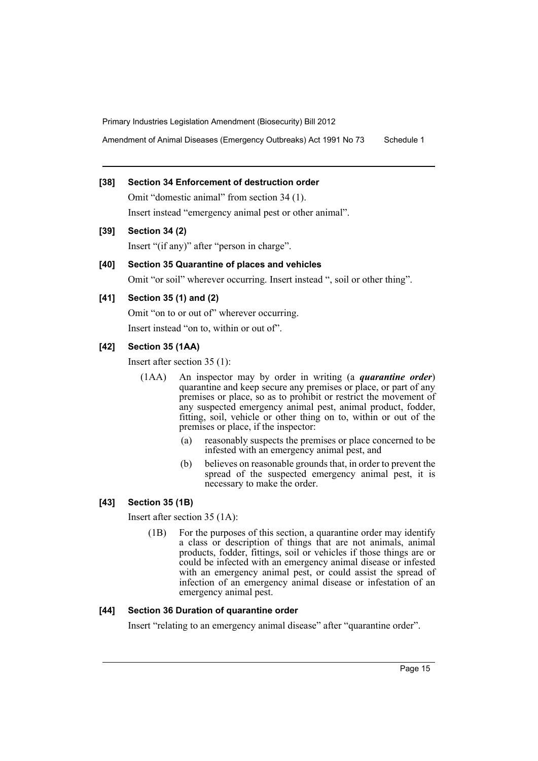Amendment of Animal Diseases (Emergency Outbreaks) Act 1991 No 73 Schedule 1

# **[38] Section 34 Enforcement of destruction order**

Omit "domestic animal" from section 34 (1). Insert instead "emergency animal pest or other animal".

**[39] Section 34 (2)**

Insert "(if any)" after "person in charge".

# **[40] Section 35 Quarantine of places and vehicles**

Omit "or soil" wherever occurring. Insert instead ", soil or other thing".

# **[41] Section 35 (1) and (2)**

Omit "on to or out of" wherever occurring. Insert instead "on to, within or out of".

# **[42] Section 35 (1AA)**

Insert after section 35 (1):

- (1AA) An inspector may by order in writing (a *quarantine order*) quarantine and keep secure any premises or place, or part of any premises or place, so as to prohibit or restrict the movement of any suspected emergency animal pest, animal product, fodder, fitting, soil, vehicle or other thing on to, within or out of the premises or place, if the inspector:
	- (a) reasonably suspects the premises or place concerned to be infested with an emergency animal pest, and
	- (b) believes on reasonable grounds that, in order to prevent the spread of the suspected emergency animal pest, it is necessary to make the order.

# **[43] Section 35 (1B)**

Insert after section 35 (1A):

(1B) For the purposes of this section, a quarantine order may identify a class or description of things that are not animals, animal products, fodder, fittings, soil or vehicles if those things are or could be infected with an emergency animal disease or infested with an emergency animal pest, or could assist the spread of infection of an emergency animal disease or infestation of an emergency animal pest.

# **[44] Section 36 Duration of quarantine order**

Insert "relating to an emergency animal disease" after "quarantine order".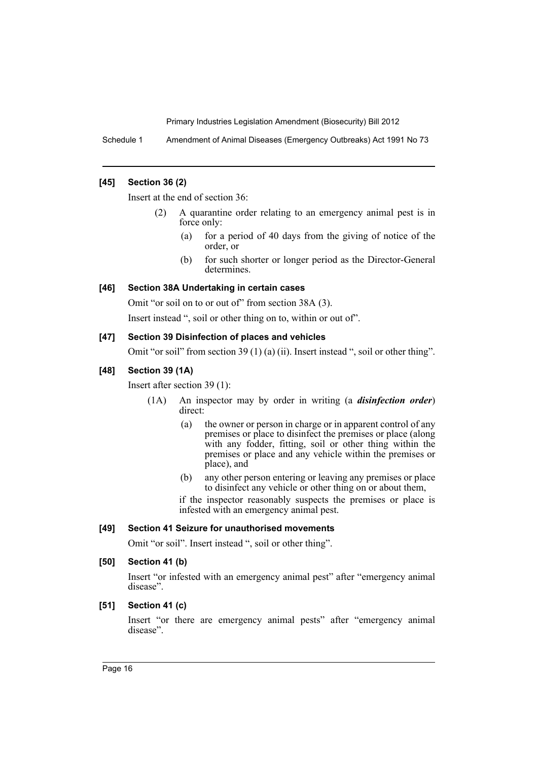Schedule 1 Amendment of Animal Diseases (Emergency Outbreaks) Act 1991 No 73

# **[45] Section 36 (2)**

Insert at the end of section 36:

- (2) A quarantine order relating to an emergency animal pest is in force only:
	- (a) for a period of 40 days from the giving of notice of the order, or
	- (b) for such shorter or longer period as the Director-General determines.

#### **[46] Section 38A Undertaking in certain cases**

Omit "or soil on to or out of" from section 38A (3).

Insert instead ", soil or other thing on to, within or out of".

#### **[47] Section 39 Disinfection of places and vehicles**

Omit "or soil" from section 39 (1) (a) (ii). Insert instead ", soil or other thing".

# **[48] Section 39 (1A)**

Insert after section 39 (1):

- (1A) An inspector may by order in writing (a *disinfection order*) direct:
	- (a) the owner or person in charge or in apparent control of any premises or place to disinfect the premises or place (along with any fodder, fitting, soil or other thing within the premises or place and any vehicle within the premises or place), and
	- (b) any other person entering or leaving any premises or place to disinfect any vehicle or other thing on or about them,
	- if the inspector reasonably suspects the premises or place is infested with an emergency animal pest.

# **[49] Section 41 Seizure for unauthorised movements**

Omit "or soil". Insert instead ", soil or other thing".

#### **[50] Section 41 (b)**

Insert "or infested with an emergency animal pest" after "emergency animal disease".

#### **[51] Section 41 (c)**

Insert "or there are emergency animal pests" after "emergency animal disease".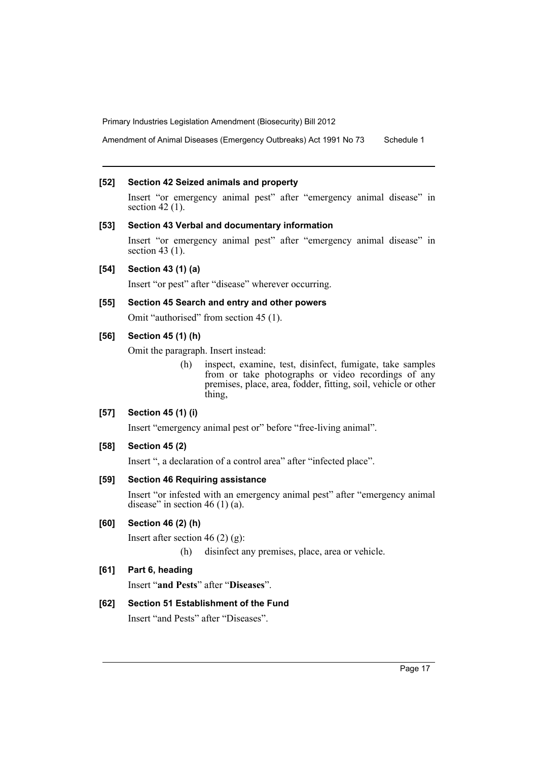Amendment of Animal Diseases (Emergency Outbreaks) Act 1991 No 73 Schedule 1

#### **[52] Section 42 Seized animals and property**

Insert "or emergency animal pest" after "emergency animal disease" in section 42 (1).

#### **[53] Section 43 Verbal and documentary information**

Insert "or emergency animal pest" after "emergency animal disease" in section 43 (1).

# **[54] Section 43 (1) (a)**

Insert "or pest" after "disease" wherever occurring.

# **[55] Section 45 Search and entry and other powers**

Omit "authorised" from section 45 (1).

# **[56] Section 45 (1) (h)**

Omit the paragraph. Insert instead:

(h) inspect, examine, test, disinfect, fumigate, take samples from or take photographs or video recordings of any premises, place, area, fodder, fitting, soil, vehicle or other thing,

# **[57] Section 45 (1) (i)**

Insert "emergency animal pest or" before "free-living animal".

#### **[58] Section 45 (2)**

Insert ", a declaration of a control area" after "infected place".

#### **[59] Section 46 Requiring assistance**

Insert "or infested with an emergency animal pest" after "emergency animal disease" in section 46 (1) (a).

# **[60] Section 46 (2) (h)**

Insert after section 46 (2) (g):

(h) disinfect any premises, place, area or vehicle.

# **[61] Part 6, heading**

Insert "**and Pests**" after "**Diseases**".

#### **[62] Section 51 Establishment of the Fund**

Insert "and Pests" after "Diseases".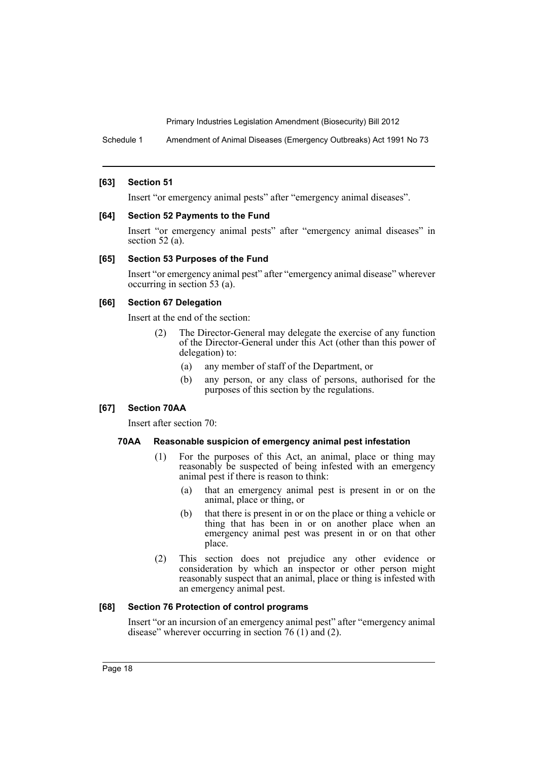Schedule 1 Amendment of Animal Diseases (Emergency Outbreaks) Act 1991 No 73

#### **[63] Section 51**

Insert "or emergency animal pests" after "emergency animal diseases".

#### **[64] Section 52 Payments to the Fund**

Insert "or emergency animal pests" after "emergency animal diseases" in section 52 (a).

#### **[65] Section 53 Purposes of the Fund**

Insert "or emergency animal pest" after "emergency animal disease" wherever occurring in section 53 (a).

#### **[66] Section 67 Delegation**

Insert at the end of the section:

- (2) The Director-General may delegate the exercise of any function of the Director-General under this Act (other than this power of delegation) to:
	- (a) any member of staff of the Department, or
	- (b) any person, or any class of persons, authorised for the purposes of this section by the regulations.

#### **[67] Section 70AA**

Insert after section 70:

#### **70AA Reasonable suspicion of emergency animal pest infestation**

- (1) For the purposes of this Act, an animal, place or thing may reasonably be suspected of being infested with an emergency animal pest if there is reason to think:
	- (a) that an emergency animal pest is present in or on the animal, place or thing, or
	- (b) that there is present in or on the place or thing a vehicle or thing that has been in or on another place when an emergency animal pest was present in or on that other place.
- (2) This section does not prejudice any other evidence or consideration by which an inspector or other person might reasonably suspect that an animal, place or thing is infested with an emergency animal pest.

#### **[68] Section 76 Protection of control programs**

Insert "or an incursion of an emergency animal pest" after "emergency animal disease" wherever occurring in section 76 (1) and (2).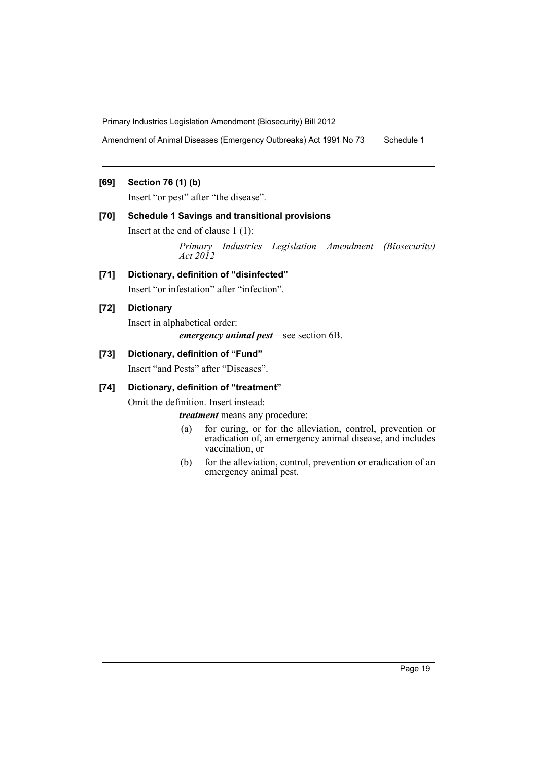Amendment of Animal Diseases (Emergency Outbreaks) Act 1991 No 73 Schedule 1

# **[69] Section 76 (1) (b)**

Insert "or pest" after "the disease".

# **[70] Schedule 1 Savings and transitional provisions**

Insert at the end of clause 1 (1):

*Primary Industries Legislation Amendment (Biosecurity) Act 2012*

# **[71] Dictionary, definition of "disinfected"** Insert "or infestation" after "infection".

# **[72] Dictionary**

Insert in alphabetical order:

*emergency animal pest*—see section 6B.

# **[73] Dictionary, definition of "Fund"**

Insert "and Pests" after "Diseases".

# **[74] Dictionary, definition of "treatment"**

Omit the definition. Insert instead:

*treatment* means any procedure:

- (a) for curing, or for the alleviation, control, prevention or eradication of, an emergency animal disease, and includes vaccination, or
- (b) for the alleviation, control, prevention or eradication of an emergency animal pest.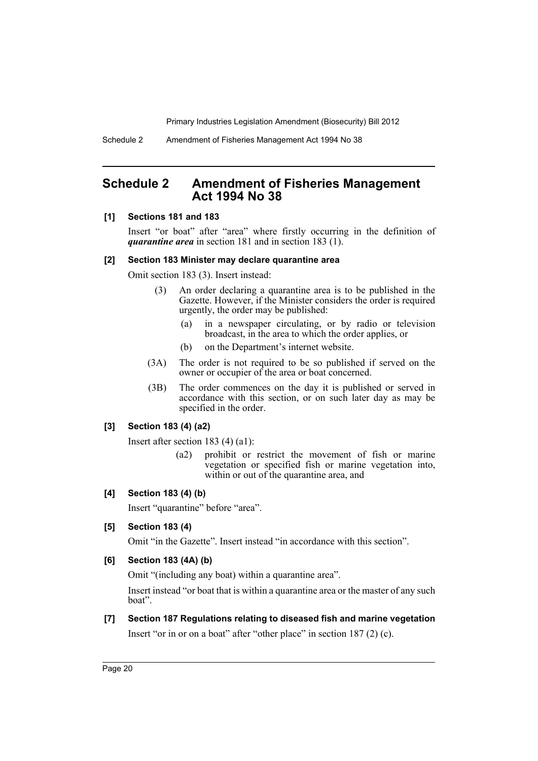Schedule 2 Amendment of Fisheries Management Act 1994 No 38

# <span id="page-21-0"></span>**Schedule 2 Amendment of Fisheries Management Act 1994 No 38**

#### **[1] Sections 181 and 183**

Insert "or boat" after "area" where firstly occurring in the definition of *quarantine area* in section 181 and in section 183 (1).

#### **[2] Section 183 Minister may declare quarantine area**

Omit section 183 (3). Insert instead:

- (3) An order declaring a quarantine area is to be published in the Gazette. However, if the Minister considers the order is required urgently, the order may be published:
	- (a) in a newspaper circulating, or by radio or television broadcast, in the area to which the order applies, or
	- (b) on the Department's internet website.
- (3A) The order is not required to be so published if served on the owner or occupier of the area or boat concerned.
- (3B) The order commences on the day it is published or served in accordance with this section, or on such later day as may be specified in the order.

# **[3] Section 183 (4) (a2)**

Insert after section 183 (4) (a1):

(a2) prohibit or restrict the movement of fish or marine vegetation or specified fish or marine vegetation into, within or out of the quarantine area, and

# **[4] Section 183 (4) (b)**

Insert "quarantine" before "area".

#### **[5] Section 183 (4)**

Omit "in the Gazette". Insert instead "in accordance with this section".

# **[6] Section 183 (4A) (b)**

Omit "(including any boat) within a quarantine area".

Insert instead "or boat that is within a quarantine area or the master of any such boat".

**[7] Section 187 Regulations relating to diseased fish and marine vegetation** Insert "or in or on a boat" after "other place" in section 187 (2) (c).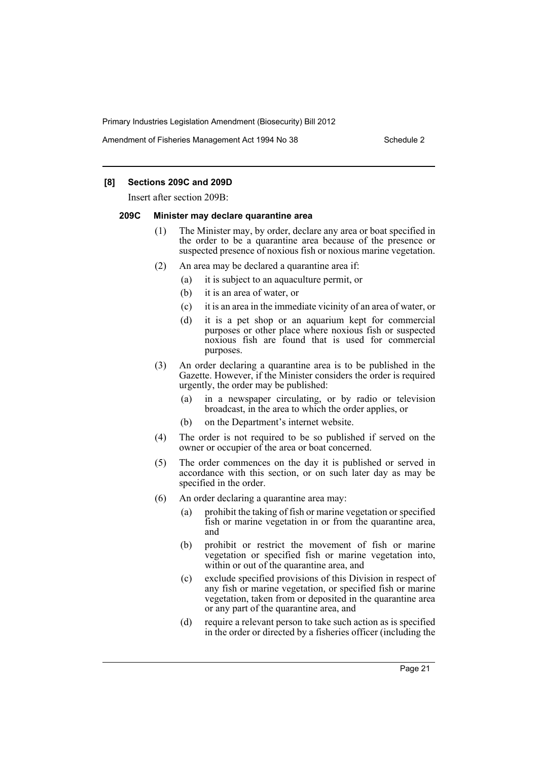Amendment of Fisheries Management Act 1994 No 38 Schedule 2

# **[8] Sections 209C and 209D**

Insert after section 209B:

#### **209C Minister may declare quarantine area**

- (1) The Minister may, by order, declare any area or boat specified in the order to be a quarantine area because of the presence or suspected presence of noxious fish or noxious marine vegetation.
- (2) An area may be declared a quarantine area if:
	- (a) it is subject to an aquaculture permit, or
	- (b) it is an area of water, or
	- (c) it is an area in the immediate vicinity of an area of water, or
	- (d) it is a pet shop or an aquarium kept for commercial purposes or other place where noxious fish or suspected noxious fish are found that is used for commercial purposes.
- (3) An order declaring a quarantine area is to be published in the Gazette. However, if the Minister considers the order is required urgently, the order may be published:
	- (a) in a newspaper circulating, or by radio or television broadcast, in the area to which the order applies, or
	- (b) on the Department's internet website.
- (4) The order is not required to be so published if served on the owner or occupier of the area or boat concerned.
- (5) The order commences on the day it is published or served in accordance with this section, or on such later day as may be specified in the order.
- (6) An order declaring a quarantine area may:
	- (a) prohibit the taking of fish or marine vegetation or specified fish or marine vegetation in or from the quarantine area, and
	- (b) prohibit or restrict the movement of fish or marine vegetation or specified fish or marine vegetation into, within or out of the quarantine area, and
	- (c) exclude specified provisions of this Division in respect of any fish or marine vegetation, or specified fish or marine vegetation, taken from or deposited in the quarantine area or any part of the quarantine area, and
	- (d) require a relevant person to take such action as is specified in the order or directed by a fisheries officer (including the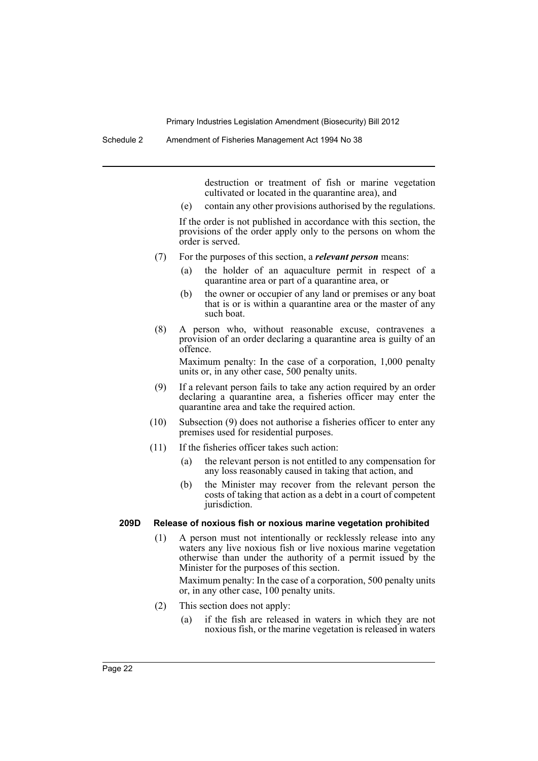destruction or treatment of fish or marine vegetation cultivated or located in the quarantine area), and

(e) contain any other provisions authorised by the regulations.

If the order is not published in accordance with this section, the provisions of the order apply only to the persons on whom the order is served.

- (7) For the purposes of this section, a *relevant person* means:
	- (a) the holder of an aquaculture permit in respect of a quarantine area or part of a quarantine area, or
	- (b) the owner or occupier of any land or premises or any boat that is or is within a quarantine area or the master of any such boat.
- (8) A person who, without reasonable excuse, contravenes a provision of an order declaring a quarantine area is guilty of an offence.

Maximum penalty: In the case of a corporation, 1,000 penalty units or, in any other case, 500 penalty units.

- (9) If a relevant person fails to take any action required by an order declaring a quarantine area, a fisheries officer may enter the quarantine area and take the required action.
- (10) Subsection (9) does not authorise a fisheries officer to enter any premises used for residential purposes.
- (11) If the fisheries officer takes such action:
	- (a) the relevant person is not entitled to any compensation for any loss reasonably caused in taking that action, and
	- (b) the Minister may recover from the relevant person the costs of taking that action as a debt in a court of competent jurisdiction.

#### **209D Release of noxious fish or noxious marine vegetation prohibited**

(1) A person must not intentionally or recklessly release into any waters any live noxious fish or live noxious marine vegetation otherwise than under the authority of a permit issued by the Minister for the purposes of this section.

Maximum penalty: In the case of a corporation, 500 penalty units or, in any other case, 100 penalty units.

- (2) This section does not apply:
	- (a) if the fish are released in waters in which they are not noxious fish, or the marine vegetation is released in waters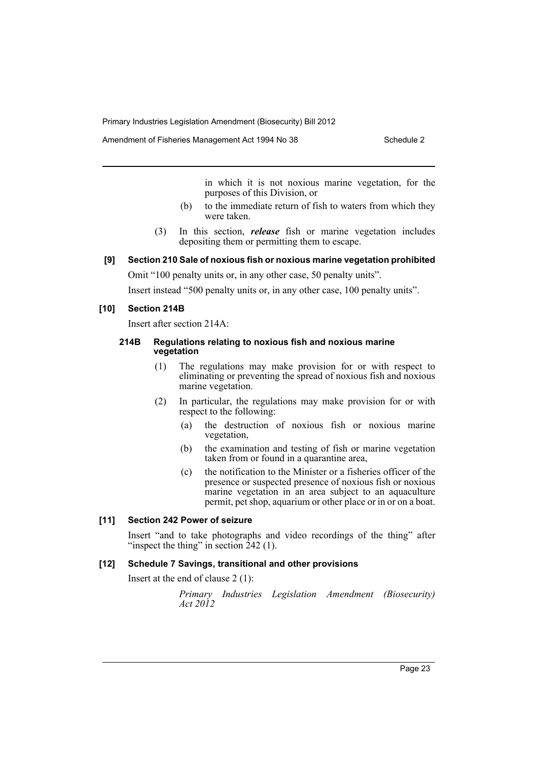Amendment of Fisheries Management Act 1994 No 38 Schedule 2

in which it is not noxious marine vegetation, for the purposes of this Division, or

- (b) to the immediate return of fish to waters from which they were taken.
- (3) In this section, *release* fish or marine vegetation includes depositing them or permitting them to escape.

#### **[9] Section 210 Sale of noxious fish or noxious marine vegetation prohibited**

Omit "100 penalty units or, in any other case, 50 penalty units".

Insert instead "500 penalty units or, in any other case, 100 penalty units".

#### **[10] Section 214B**

Insert after section 214A:

#### **214B Regulations relating to noxious fish and noxious marine vegetation**

- (1) The regulations may make provision for or with respect to eliminating or preventing the spread of noxious fish and noxious marine vegetation.
- (2) In particular, the regulations may make provision for or with respect to the following:
	- (a) the destruction of noxious fish or noxious marine vegetation,
	- (b) the examination and testing of fish or marine vegetation taken from or found in a quarantine area,
	- (c) the notification to the Minister or a fisheries officer of the presence or suspected presence of noxious fish or noxious marine vegetation in an area subject to an aquaculture permit, pet shop, aquarium or other place or in or on a boat.

# **[11] Section 242 Power of seizure**

Insert "and to take photographs and video recordings of the thing" after "inspect the thing" in section  $242$  (1).

# **[12] Schedule 7 Savings, transitional and other provisions**

Insert at the end of clause 2 (1):

*Primary Industries Legislation Amendment (Biosecurity) Act 2012*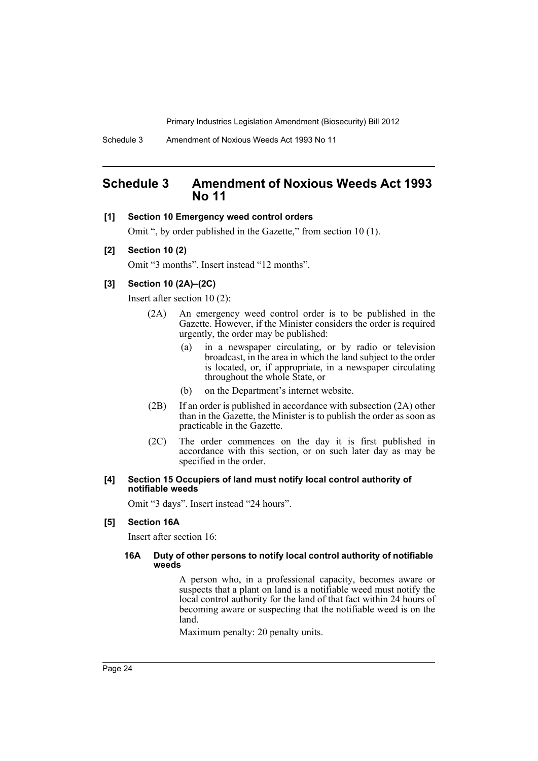Schedule 3 Amendment of Noxious Weeds Act 1993 No 11

# <span id="page-25-0"></span>**Schedule 3 Amendment of Noxious Weeds Act 1993 No 11**

#### **[1] Section 10 Emergency weed control orders**

Omit ", by order published in the Gazette," from section 10 (1).

#### **[2] Section 10 (2)**

Omit "3 months". Insert instead "12 months".

# **[3] Section 10 (2A)–(2C)**

Insert after section 10 (2):

- (2A) An emergency weed control order is to be published in the Gazette. However, if the Minister considers the order is required urgently, the order may be published:
	- (a) in a newspaper circulating, or by radio or television broadcast, in the area in which the land subject to the order is located, or, if appropriate, in a newspaper circulating throughout the whole State, or
	- (b) on the Department's internet website.
- (2B) If an order is published in accordance with subsection (2A) other than in the Gazette, the Minister is to publish the order as soon as practicable in the Gazette.
- (2C) The order commences on the day it is first published in accordance with this section, or on such later day as may be specified in the order.

#### **[4] Section 15 Occupiers of land must notify local control authority of notifiable weeds**

Omit "3 days". Insert instead "24 hours".

#### **[5] Section 16A**

Insert after section 16:

#### **16A Duty of other persons to notify local control authority of notifiable weeds**

A person who, in a professional capacity, becomes aware or suspects that a plant on land is a notifiable weed must notify the local control authority for the land of that fact within 24 hours of becoming aware or suspecting that the notifiable weed is on the land.

Maximum penalty: 20 penalty units.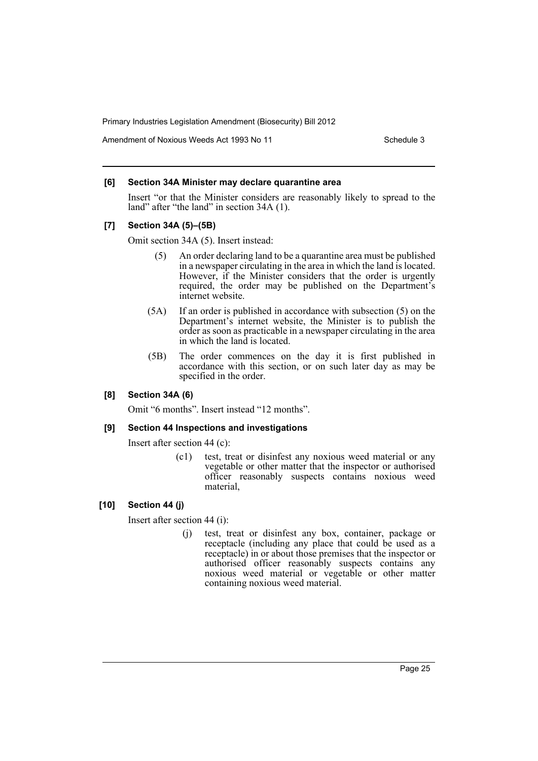Amendment of Noxious Weeds Act 1993 No 11 Schedule 3

#### **[6] Section 34A Minister may declare quarantine area**

Insert "or that the Minister considers are reasonably likely to spread to the land" after "the land" in section 34A (1).

# **[7] Section 34A (5)–(5B)**

Omit section 34A (5). Insert instead:

- (5) An order declaring land to be a quarantine area must be published in a newspaper circulating in the area in which the land is located. However, if the Minister considers that the order is urgently required, the order may be published on the Department's internet website.
- (5A) If an order is published in accordance with subsection (5) on the Department's internet website, the Minister is to publish the order as soon as practicable in a newspaper circulating in the area in which the land is located.
- (5B) The order commences on the day it is first published in accordance with this section, or on such later day as may be specified in the order.

# **[8] Section 34A (6)**

Omit "6 months". Insert instead "12 months".

#### **[9] Section 44 Inspections and investigations**

Insert after section 44 (c):

(c1) test, treat or disinfest any noxious weed material or any vegetable or other matter that the inspector or authorised officer reasonably suspects contains noxious weed material,

#### **[10] Section 44 (j)**

Insert after section 44 (i):

(j) test, treat or disinfest any box, container, package or receptacle (including any place that could be used as a receptacle) in or about those premises that the inspector or authorised officer reasonably suspects contains any noxious weed material or vegetable or other matter containing noxious weed material.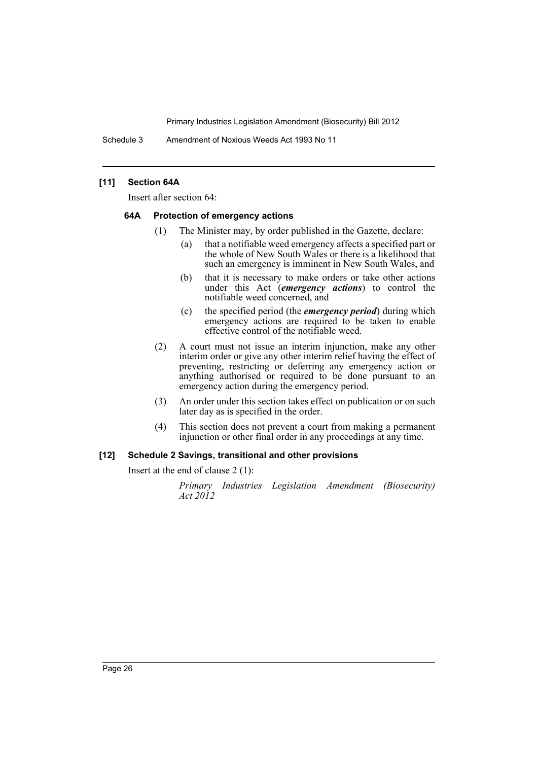Schedule 3 Amendment of Noxious Weeds Act 1993 No 11

# **[11] Section 64A**

Insert after section 64:

#### **64A Protection of emergency actions**

- (1) The Minister may, by order published in the Gazette, declare:
	- (a) that a notifiable weed emergency affects a specified part or the whole of New South Wales or there is a likelihood that such an emergency is imminent in New South Wales, and
	- (b) that it is necessary to make orders or take other actions under this Act (*emergency actions*) to control the notifiable weed concerned, and
	- (c) the specified period (the *emergency period*) during which emergency actions are required to be taken to enable effective control of the notifiable weed.
- (2) A court must not issue an interim injunction, make any other interim order or give any other interim relief having the effect of preventing, restricting or deferring any emergency action or anything authorised or required to be done pursuant to an emergency action during the emergency period.
- (3) An order under this section takes effect on publication or on such later day as is specified in the order.
- (4) This section does not prevent a court from making a permanent injunction or other final order in any proceedings at any time.

# **[12] Schedule 2 Savings, transitional and other provisions**

Insert at the end of clause 2 (1):

*Primary Industries Legislation Amendment (Biosecurity) Act 2012*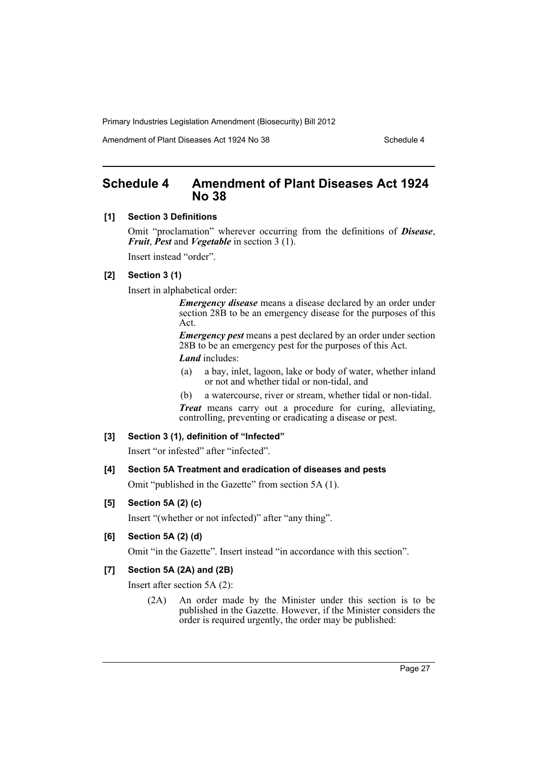Amendment of Plant Diseases Act 1924 No 38 Schedule 4

# <span id="page-28-0"></span>**Schedule 4 Amendment of Plant Diseases Act 1924 No 38**

#### **[1] Section 3 Definitions**

Omit "proclamation" wherever occurring from the definitions of *Disease*, *Fruit*, *Pest* and *Vegetable* in section 3 (1).

Insert instead "order".

# **[2] Section 3 (1)**

Insert in alphabetical order:

*Emergency disease* means a disease declared by an order under section 28B to be an emergency disease for the purposes of this Act.

*Emergency pest* means a pest declared by an order under section 28B to be an emergency pest for the purposes of this Act. *Land* includes:

- (a) a bay, inlet, lagoon, lake or body of water, whether inland or not and whether tidal or non-tidal, and
- (b) a watercourse, river or stream, whether tidal or non-tidal.

*Treat* means carry out a procedure for curing, alleviating, controlling, preventing or eradicating a disease or pest.

#### **[3] Section 3 (1), definition of "Infected"**

Insert "or infested" after "infected".

# **[4] Section 5A Treatment and eradication of diseases and pests**

Omit "published in the Gazette" from section 5A (1).

# **[5] Section 5A (2) (c)**

Insert "(whether or not infected)" after "any thing".

#### **[6] Section 5A (2) (d)**

Omit "in the Gazette". Insert instead "in accordance with this section".

# **[7] Section 5A (2A) and (2B)**

Insert after section 5A (2):

(2A) An order made by the Minister under this section is to be published in the Gazette. However, if the Minister considers the order is required urgently, the order may be published: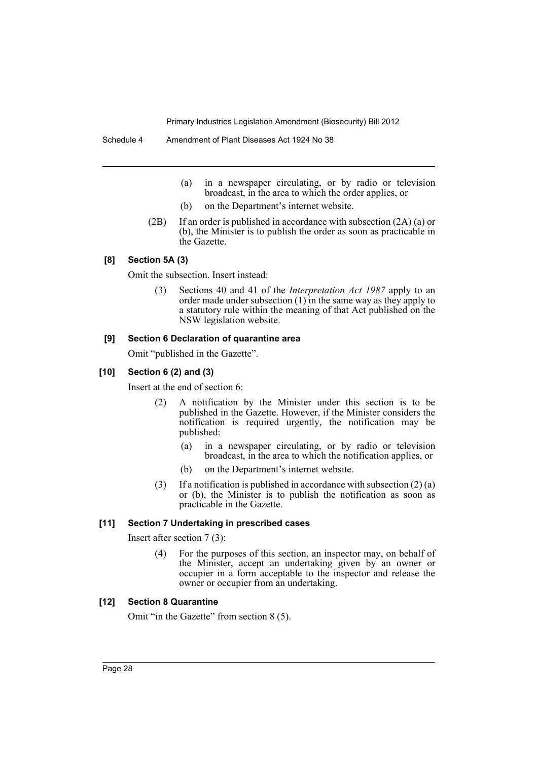- (a) in a newspaper circulating, or by radio or television broadcast, in the area to which the order applies, or
- (b) on the Department's internet website.
- (2B) If an order is published in accordance with subsection (2A) (a) or (b), the Minister is to publish the order as soon as practicable in the Gazette.

#### **[8] Section 5A (3)**

Omit the subsection. Insert instead:

(3) Sections 40 and 41 of the *Interpretation Act 1987* apply to an order made under subsection  $(1)$  in the same way as they apply to a statutory rule within the meaning of that Act published on the NSW legislation website.

#### **[9] Section 6 Declaration of quarantine area**

Omit "published in the Gazette".

#### **[10] Section 6 (2) and (3)**

Insert at the end of section 6:

- (2) A notification by the Minister under this section is to be published in the Gazette. However, if the Minister considers the notification is required urgently, the notification may be published:
	- (a) in a newspaper circulating, or by radio or television broadcast, in the area to which the notification applies, or
	- (b) on the Department's internet website.
- (3) If a notification is published in accordance with subsection  $(2)$  (a) or (b), the Minister is to publish the notification as soon as practicable in the Gazette.

#### **[11] Section 7 Undertaking in prescribed cases**

Insert after section 7 (3):

(4) For the purposes of this section, an inspector may, on behalf of the Minister, accept an undertaking given by an owner or occupier in a form acceptable to the inspector and release the owner or occupier from an undertaking.

# **[12] Section 8 Quarantine**

Omit "in the Gazette" from section 8 (5).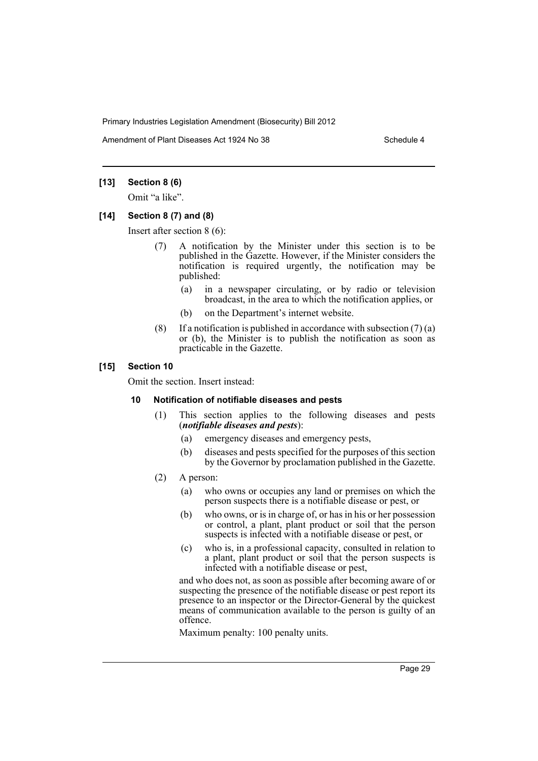Amendment of Plant Diseases Act 1924 No 38 Schedule 4

# **[13] Section 8 (6)**

Omit "a like".

#### **[14] Section 8 (7) and (8)**

Insert after section 8 (6):

- (7) A notification by the Minister under this section is to be published in the Gazette. However, if the Minister considers the notification is required urgently, the notification may be published:
	- (a) in a newspaper circulating, or by radio or television broadcast, in the area to which the notification applies, or
	- (b) on the Department's internet website.
- (8) If a notification is published in accordance with subsection  $(7)$  (a) or (b), the Minister is to publish the notification as soon as practicable in the Gazette.

# **[15] Section 10**

Omit the section. Insert instead:

# **10 Notification of notifiable diseases and pests**

- (1) This section applies to the following diseases and pests (*notifiable diseases and pests*):
	- (a) emergency diseases and emergency pests,
	- (b) diseases and pests specified for the purposes of this section by the Governor by proclamation published in the Gazette.
- (2) A person:
	- (a) who owns or occupies any land or premises on which the person suspects there is a notifiable disease or pest, or
	- (b) who owns, or is in charge of, or has in his or her possession or control, a plant, plant product or soil that the person suspects is infected with a notifiable disease or pest, or
	- (c) who is, in a professional capacity, consulted in relation to a plant, plant product or soil that the person suspects is infected with a notifiable disease or pest,

and who does not, as soon as possible after becoming aware of or suspecting the presence of the notifiable disease or pest report its presence to an inspector or the Director-General by the quickest means of communication available to the person is guilty of an offence.

Maximum penalty: 100 penalty units.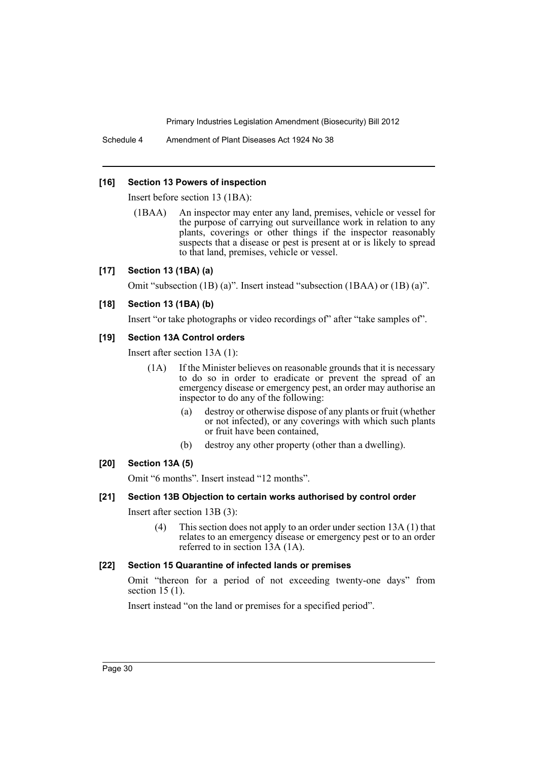Schedule 4 Amendment of Plant Diseases Act 1924 No 38

#### **[16] Section 13 Powers of inspection**

Insert before section 13 (1BA):

(1BAA) An inspector may enter any land, premises, vehicle or vessel for the purpose of carrying out surveillance work in relation to any plants, coverings or other things if the inspector reasonably suspects that a disease or pest is present at or is likely to spread to that land, premises, vehicle or vessel.

# **[17] Section 13 (1BA) (a)**

Omit "subsection (1B) (a)". Insert instead "subsection (1BAA) or (1B) (a)".

# **[18] Section 13 (1BA) (b)**

Insert "or take photographs or video recordings of" after "take samples of".

# **[19] Section 13A Control orders**

Insert after section 13A (1):

- (1A) If the Minister believes on reasonable grounds that it is necessary to do so in order to eradicate or prevent the spread of an emergency disease or emergency pest, an order may authorise an inspector to do any of the following:
	- (a) destroy or otherwise dispose of any plants or fruit (whether or not infected), or any coverings with which such plants or fruit have been contained,
	- (b) destroy any other property (other than a dwelling).

# **[20] Section 13A (5)**

Omit "6 months". Insert instead "12 months".

# **[21] Section 13B Objection to certain works authorised by control order**

Insert after section 13B (3):

(4) This section does not apply to an order under section 13A (1) that relates to an emergency disease or emergency pest or to an order referred to in section 13A (1A).

#### **[22] Section 15 Quarantine of infected lands or premises**

Omit "thereon for a period of not exceeding twenty-one days" from section 15 (1).

Insert instead "on the land or premises for a specified period".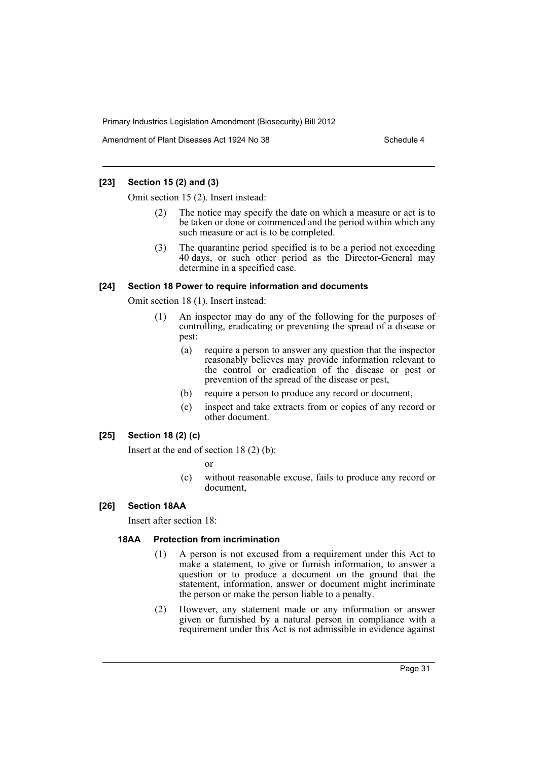Amendment of Plant Diseases Act 1924 No 38 Schedule 4

# **[23] Section 15 (2) and (3)**

Omit section 15 (2). Insert instead:

- The notice may specify the date on which a measure or act is to be taken or done or commenced and the period within which any such measure or act is to be completed.
- (3) The quarantine period specified is to be a period not exceeding 40 days, or such other period as the Director-General may determine in a specified case.

#### **[24] Section 18 Power to require information and documents**

Omit section 18 (1). Insert instead:

- (1) An inspector may do any of the following for the purposes of controlling, eradicating or preventing the spread of a disease or pest:
	- (a) require a person to answer any question that the inspector reasonably believes may provide information relevant to the control or eradication of the disease or pest or prevention of the spread of the disease or pest,
	- (b) require a person to produce any record or document,
	- (c) inspect and take extracts from or copies of any record or other document.

# **[25] Section 18 (2) (c)**

Insert at the end of section 18 (2) (b):

or

(c) without reasonable excuse, fails to produce any record or document,

# **[26] Section 18AA**

Insert after section 18:

# **18AA Protection from incrimination**

- (1) A person is not excused from a requirement under this Act to make a statement, to give or furnish information, to answer a question or to produce a document on the ground that the statement, information, answer or document might incriminate the person or make the person liable to a penalty.
- (2) However, any statement made or any information or answer given or furnished by a natural person in compliance with a requirement under this Act is not admissible in evidence against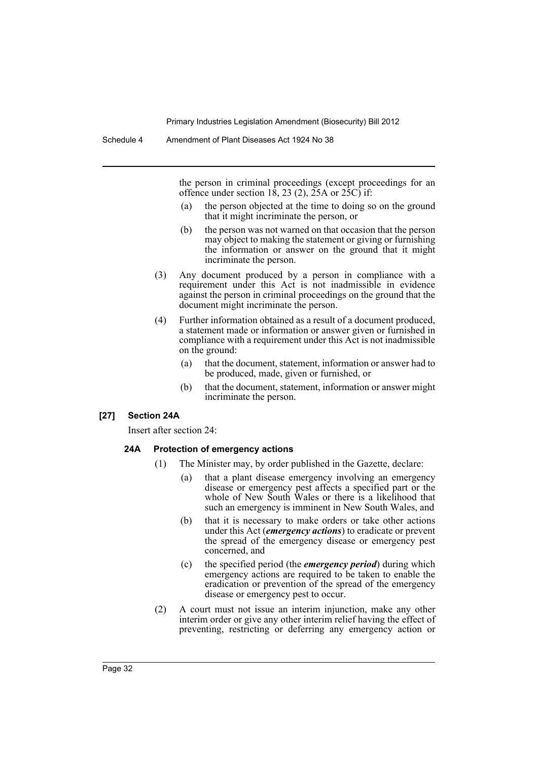the person in criminal proceedings (except proceedings for an offence under section 18, 23 (2),  $25A$  or  $25C$  if:

- (a) the person objected at the time to doing so on the ground that it might incriminate the person, or
- (b) the person was not warned on that occasion that the person may object to making the statement or giving or furnishing the information or answer on the ground that it might incriminate the person.
- (3) Any document produced by a person in compliance with a requirement under this Act is not inadmissible in evidence against the person in criminal proceedings on the ground that the document might incriminate the person.
- (4) Further information obtained as a result of a document produced, a statement made or information or answer given or furnished in compliance with a requirement under this Act is not inadmissible on the ground:
	- (a) that the document, statement, information or answer had to be produced, made, given or furnished, or
	- (b) that the document, statement, information or answer might incriminate the person.

#### **[27] Section 24A**

Insert after section 24:

#### **24A Protection of emergency actions**

- (1) The Minister may, by order published in the Gazette, declare:
	- (a) that a plant disease emergency involving an emergency disease or emergency pest affects a specified part or the whole of New South Wales or there is a likelihood that such an emergency is imminent in New South Wales, and
	- (b) that it is necessary to make orders or take other actions under this Act (*emergency actions*) to eradicate or prevent the spread of the emergency disease or emergency pest concerned, and
	- (c) the specified period (the *emergency period*) during which emergency actions are required to be taken to enable the eradication or prevention of the spread of the emergency disease or emergency pest to occur.
- (2) A court must not issue an interim injunction, make any other interim order or give any other interim relief having the effect of preventing, restricting or deferring any emergency action or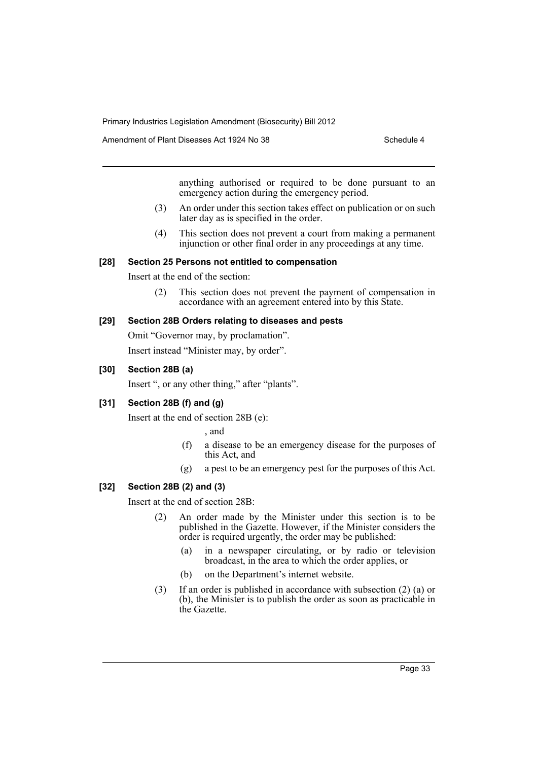Amendment of Plant Diseases Act 1924 No 38 Schedule 4

anything authorised or required to be done pursuant to an emergency action during the emergency period.

- (3) An order under this section takes effect on publication or on such later day as is specified in the order.
- (4) This section does not prevent a court from making a permanent injunction or other final order in any proceedings at any time.

#### **[28] Section 25 Persons not entitled to compensation**

Insert at the end of the section:

(2) This section does not prevent the payment of compensation in accordance with an agreement entered into by this State.

# **[29] Section 28B Orders relating to diseases and pests**

Omit "Governor may, by proclamation".

Insert instead "Minister may, by order".

# **[30] Section 28B (a)**

Insert ", or any other thing," after "plants".

# **[31] Section 28B (f) and (g)**

Insert at the end of section 28B (e):

, and

- (f) a disease to be an emergency disease for the purposes of this Act, and
- (g) a pest to be an emergency pest for the purposes of this Act.

#### **[32] Section 28B (2) and (3)**

Insert at the end of section 28B:

- (2) An order made by the Minister under this section is to be published in the Gazette. However, if the Minister considers the order is required urgently, the order may be published:
	- (a) in a newspaper circulating, or by radio or television broadcast, in the area to which the order applies, or
	- (b) on the Department's internet website.
- (3) If an order is published in accordance with subsection (2) (a) or (b), the Minister is to publish the order as soon as practicable in the Gazette.